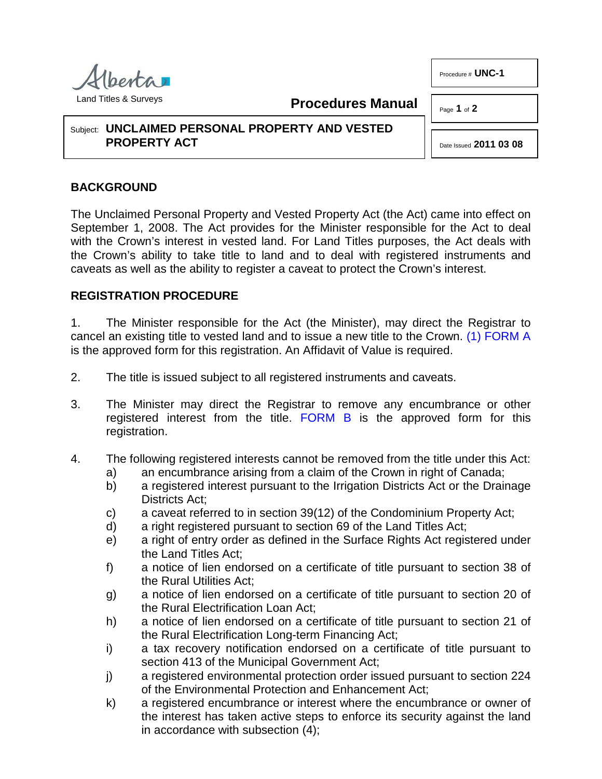

**Procedures Manual**

Page **1** of **2**

Procedure # **UNC-1**

## Subject: **UNCLAIMED PERSONAL PROPERTY AND VESTED PROPERTY ACT**

<span id="page-0-0"></span>Date Issued **2011 03 08**

## **BACKGROUND**

The Unclaimed Personal Property and Vested Property Act (the Act) came into effect on September 1, 2008. The Act provides for the Minister responsible for the Act to deal with the Crown's interest in vested land. For Land Titles purposes, the Act deals with the Crown's ability to take title to land and to deal with registered instruments and caveats as well as the ability to register a caveat to protect the Crown's interest.

## **REGISTRATION PROCEDURE**

1. The Minister responsible for the Act (the Minister), may direct the Registrar to cancel an existing title to vested land and to issue a new title to the Crown. [\(1\)](#page-1-0) [FORM](http://www.servicealberta.ca/pdf/ltmanual/UNC-1-FORMA.pdf) A is the approved form for this registration. An Affidavit of Value is required.

- 2. The title is issued subject to all registered instruments and caveats.
- 3. The Minister may direct the Registrar to remove any encumbrance or other registered interest from the title. [FORM B](http://www.servicealberta.ca/pdf/ltmanual/UNC-1-FORMB.pdf) is the approved form for this registration.
- 4. The following registered interests cannot be removed from the title under this Act:
	- a) an encumbrance arising from a claim of the Crown in right of Canada;
	- b) a registered interest pursuant to the Irrigation Districts Act or the Drainage Districts Act;
	- c) a caveat referred to in section 39(12) of the Condominium Property Act;
	- d) a right registered pursuant to section 69 of the Land Titles Act;
	- e) a right of entry order as defined in the Surface Rights Act registered under the Land Titles Act;
	- f) a notice of lien endorsed on a certificate of title pursuant to section 38 of the Rural Utilities Act;
	- g) a notice of lien endorsed on a certificate of title pursuant to section 20 of the Rural Electrification Loan Act;
	- h) a notice of lien endorsed on a certificate of title pursuant to section 21 of the Rural Electrification Long-term Financing Act;
	- i) a tax recovery notification endorsed on a certificate of title pursuant to section 413 of the Municipal Government Act;
	- j) a registered environmental protection order issued pursuant to section 224 of the Environmental Protection and Enhancement Act;
	- k) a registered encumbrance or interest where the encumbrance or owner of the interest has taken active steps to enforce its security against the land in accordance with subsection (4);